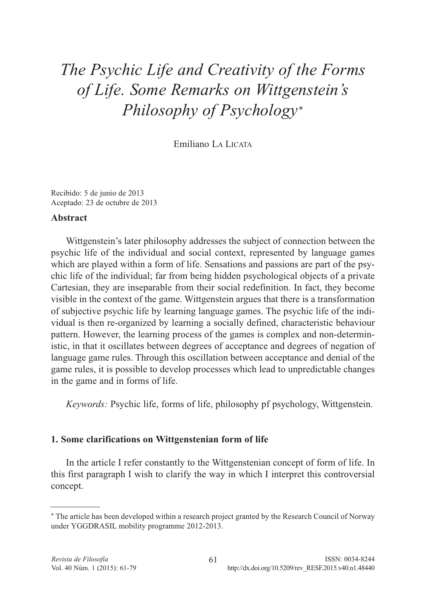# *The Psychic Life and Creativity of the Forms of Life. Some Remarks on Wittgenstein's Philosophy of Psychology*\*

Emiliano LA LICATA

Recibido: 5 de junio de 2013 Aceptado: 23 de octubre de 2013

#### **Abstract**

Wittgenstein's later philosophy addresses the subject of connection between the psychic life of the individual and social context, represented by language games which are played within a form of life. Sensations and passions are part of the psychic life of the individual; far from being hidden psychological objects of a private Cartesian, they are inseparable from their social redefinition. In fact, they become visible in the context of the game. Wittgenstein argues that there is a transformation of subjective psychic life by learning language games. The psychic life of the individual is then re-organized by learning a socially defined, characteristic behaviour pattern. However, the learning process of the games is complex and non-deterministic, in that it oscillates between degrees of acceptance and degrees of negation of language game rules. Through this oscillation between acceptance and denial of the game rules, it is possible to develop processes which lead to unpredictable changes in the game and in forms of life.

*Keywords:* Psychic life, forms of life, philosophy pf psychology, Wittgenstein.

## **1. Some clarifications on Wittgenstenian form of life**

In the article I refer constantly to the Wittgenstenian concept of form of life. In this first paragraph I wish to clarify the way in which I interpret this controversial concept.

61

<sup>\*</sup> The article has been developed within a research project granted by the Research Council of Norway under YGGDRASIL mobility programme 2012-2013.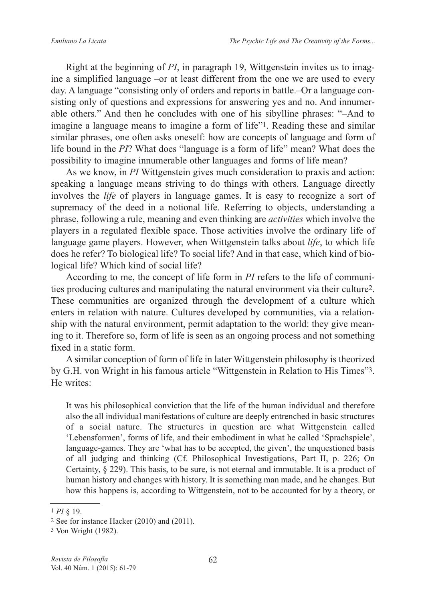Right at the beginning of *PI*, in paragraph 19, Wittgenstein invites us to imagine a simplified language –or at least different from the one we are used to every day. A language "consisting only of orders and reports in battle.–Or a language consisting only of questions and expressions for answering yes and no. And innumerable others." And then he concludes with one of his sibylline phrases: "–And to imagine a language means to imagine a form of life"1. Reading these and similar similar phrases, one often asks oneself: how are concepts of language and form of life bound in the *PI*? What does "language is a form of life" mean? What does the possibility to imagine innumerable other languages and forms of life mean?

As we know, in *PI* Wittgenstein gives much consideration to praxis and action: speaking a language means striving to do things with others. Language directly involves the *life* of players in language games. It is easy to recognize a sort of supremacy of the deed in a notional life. Referring to objects, understanding a phrase, following a rule, meaning and even thinking are *activities* which involve the players in a regulated flexible space. Those activities involve the ordinary life of language game players. However, when Wittgenstein talks about *life*, to which life does he refer? To biological life? To social life? And in that case, which kind of biological life? Which kind of social life?

According to me, the concept of life form in *PI* refers to the life of communities producing cultures and manipulating the natural environment via their culture2. These communities are organized through the development of a culture which enters in relation with nature. Cultures developed by communities, via a relationship with the natural environment, permit adaptation to the world: they give meaning to it. Therefore so, form of life is seen as an ongoing process and not something fixed in a static form.

A similar conception of form of life in later Wittgenstein philosophy is theorized by G.H. von Wright in his famous article "Wittgenstein in Relation to His Times"3. He writes:

It was his philosophical conviction that the life of the human individual and therefore also the all individual manifestations of culture are deeply entrenched in basic structures of a social nature. The structures in question are what Wittgenstein called 'Lebensformen', forms of life, and their embodiment in what he called 'Sprachspiele', language-games. They are 'what has to be accepted, the given', the unquestioned basis of all judging and thinking (Cf. Philosophical Investigations, Part II, p. 226; On Certainty, § 229). This basis, to be sure, is not eternal and immutable. It is a product of human history and changes with history. It is something man made, and he changes. But how this happens is, according to Wittgenstein, not to be accounted for by a theory, or

<sup>1</sup> *PI* § 19.

<sup>2</sup> See for instance Hacker (2010) and (2011).

<sup>3</sup> Von Wright (1982).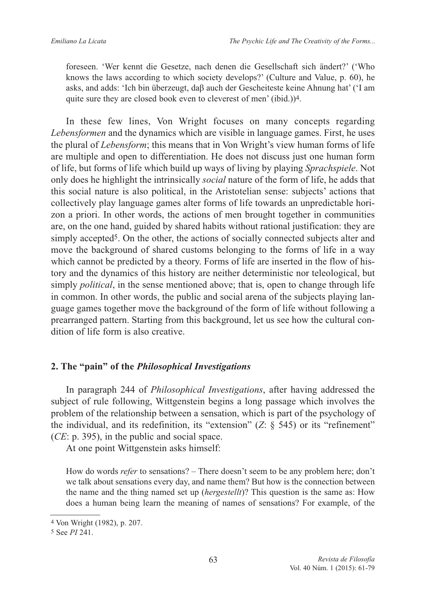foreseen. 'Wer kennt die Gesetze, nach denen die Gesellschaft sich ändert?' ('Who knows the laws according to which society develops?' (Culture and Value, p. 60), he asks, and adds: 'Ich bin überzeugt, daβ auch der Gescheiteste keine Ahnung hat' ('I am quite sure they are closed book even to cleverest of men' (ibid.))4.

In these few lines, Von Wright focuses on many concepts regarding *Lebensformen* and the dynamics which are visible in language games. First, he uses the plural of *Lebensform*; this means that in Von Wright's view human forms of life are multiple and open to differentiation. He does not discuss just one human form of life, but forms of life which build up ways of living by playing *Sprachspiele*. Not only does he highlight the intrinsically *social* nature of the form of life, he adds that this social nature is also political, in the Aristotelian sense: subjects' actions that collectively play language games alter forms of life towards an unpredictable horizon a priori. In other words, the actions of men brought together in communities are, on the one hand, guided by shared habits without rational justification: they are simply accepted<sup>5</sup>. On the other, the actions of socially connected subjects alter and move the background of shared customs belonging to the forms of life in a way which cannot be predicted by a theory. Forms of life are inserted in the flow of history and the dynamics of this history are neither deterministic nor teleological, but simply *political*, in the sense mentioned above; that is, open to change through life in common. In other words, the public and social arena of the subjects playing language games together move the background of the form of life without following a prearranged pattern. Starting from this background, let us see how the cultural condition of life form is also creative.

#### **2. The "pain" of the** *Philosophical Investigations*

In paragraph 244 of *Philosophical Investigations*, after having addressed the subject of rule following, Wittgenstein begins a long passage which involves the problem of the relationship between a sensation, which is part of the psychology of the individual, and its redefinition, its "extension" (*Z*: § 545) or its "refinement" (*CE*: p. 395), in the public and social space.

At one point Wittgenstein asks himself:

How do words *refer* to sensations? – There doesn't seem to be any problem here; don't we talk about sensations every day, and name them? But how is the connection between the name and the thing named set up (*hergestellt*)? This question is the same as: How does a human being learn the meaning of names of sensations? For example, of the

<sup>4</sup> Von Wright (1982), p. 207.

<sup>5</sup> See *PI* 241.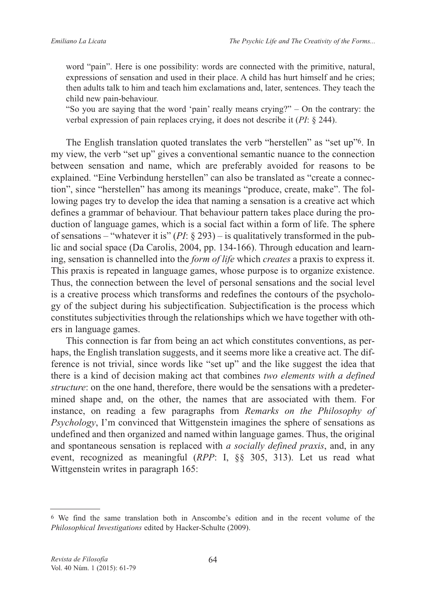word "pain". Here is one possibility: words are connected with the primitive, natural, expressions of sensation and used in their place. A child has hurt himself and he cries; then adults talk to him and teach him exclamations and, later, sentences. They teach the child new pain-behaviour.

"So you are saying that the word 'pain' really means crying?" – On the contrary: the verbal expression of pain replaces crying, it does not describe it (*PI*: § 244).

The English translation quoted translates the verb "herstellen" as "set up"6. In my view, the verb "set up" gives a conventional semantic nuance to the connection between sensation and name, which are preferably avoided for reasons to be explained. "Eine Verbindung herstellen" can also be translated as "create a connection", since "herstellen" has among its meanings "produce, create, make". The following pages try to develop the idea that naming a sensation is a creative act which defines a grammar of behaviour. That behaviour pattern takes place during the production of language games, which is a social fact within a form of life. The sphere of sensations – "whatever it is" (*PI*: § 293) – is qualitatively transformed in the public and social space (Da Carolis, 2004, pp. 134-166). Through education and learning, sensation is channelled into the *form of life* which *creates* a praxis to express it. This praxis is repeated in language games, whose purpose is to organize existence. Thus, the connection between the level of personal sensations and the social level is a creative process which transforms and redefines the contours of the psychology of the subject during his subjectification. Subjectification is the process which constitutes subjectivities through the relationships which we have together with others in language games.

This connection is far from being an act which constitutes conventions, as perhaps, the English translation suggests, and it seems more like a creative act. The difference is not trivial, since words like "set up" and the like suggest the idea that there is a kind of decision making act that combines *two elements with a defined structure*: on the one hand, therefore, there would be the sensations with a predetermined shape and, on the other, the names that are associated with them. For instance, on reading a few paragraphs from *Remarks on the Philosophy of Psychology*, I'm convinced that Wittgenstein imagines the sphere of sensations as undefined and then organized and named within language games. Thus, the original and spontaneous sensation is replaced with *a socially defined praxis*, and, in any event, recognized as meaningful (*RPP*: I, §§ 305, 313). Let us read what Wittgenstein writes in paragraph 165:

<sup>6</sup> We find the same translation both in Anscombe's edition and in the recent volume of the *Philosophical Investigations* edited by Hacker-Schulte (2009).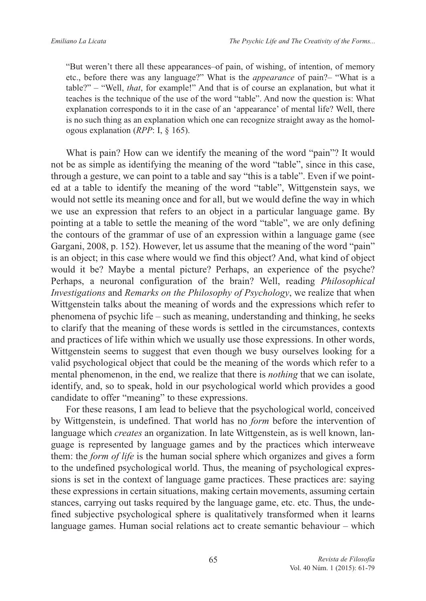"But weren't there all these appearances–of pain, of wishing, of intention, of memory etc., before there was any language?" What is the *appearance* of pain?– "What is a table?" – "Well, *that*, for example!" And that is of course an explanation, but what it teaches is the technique of the use of the word "table". And now the question is: What explanation corresponds to it in the case of an 'appearance' of mental life? Well, there is no such thing as an explanation which one can recognize straight away as the homologous explanation (*RPP*: I, § 165).

What is pain? How can we identify the meaning of the word "pain"? It would not be as simple as identifying the meaning of the word "table", since in this case, through a gesture, we can point to a table and say "this is a table". Even if we pointed at a table to identify the meaning of the word "table", Wittgenstein says, we would not settle its meaning once and for all, but we would define the way in which we use an expression that refers to an object in a particular language game. By pointing at a table to settle the meaning of the word "table", we are only defining the contours of the grammar of use of an expression within a language game (see Gargani, 2008, p. 152). However, let us assume that the meaning of the word "pain" is an object; in this case where would we find this object? And, what kind of object would it be? Maybe a mental picture? Perhaps, an experience of the psyche? Perhaps, a neuronal configuration of the brain? Well, reading *Philosophical Investigations* and *Remarks on the Philosophy of Psychology*, we realize that when Wittgenstein talks about the meaning of words and the expressions which refer to phenomena of psychic life – such as meaning, understanding and thinking, he seeks to clarify that the meaning of these words is settled in the circumstances, contexts and practices of life within which we usually use those expressions. In other words, Wittgenstein seems to suggest that even though we busy ourselves looking for a valid psychological object that could be the meaning of the words which refer to a mental phenomenon, in the end, we realize that there is *nothing* that we can isolate, identify, and, so to speak, hold in our psychological world which provides a good candidate to offer "meaning" to these expressions.

For these reasons, I am lead to believe that the psychological world, conceived by Wittgenstein, is undefined. That world has no *form* before the intervention of language which *creates* an organization. In late Wittgenstein, as is well known, language is represented by language games and by the practices which interweave them: the *form of life* is the human social sphere which organizes and gives a form to the undefined psychological world. Thus, the meaning of psychological expressions is set in the context of language game practices. These practices are: saying these expressions in certain situations, making certain movements, assuming certain stances, carrying out tasks required by the language game, etc. etc. Thus, the undefined subjective psychological sphere is qualitatively transformed when it learns language games. Human social relations act to create semantic behaviour – which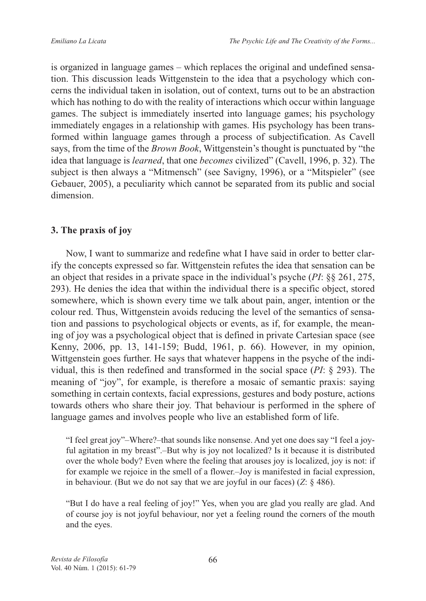is organized in language games – which replaces the original and undefined sensation. This discussion leads Wittgenstein to the idea that a psychology which concerns the individual taken in isolation, out of context, turns out to be an abstraction which has nothing to do with the reality of interactions which occur within language games. The subject is immediately inserted into language games; his psychology immediately engages in a relationship with games. His psychology has been transformed within language games through a process of subjectification. As Cavell says, from the time of the *Brown Book*, Wittgenstein's thought is punctuated by "the idea that language is *learned*, that one *becomes* civilized" (Cavell, 1996, p. 32). The subject is then always a "Mitmensch" (see Savigny, 1996), or a "Mitspieler" (see Gebauer, 2005), a peculiarity which cannot be separated from its public and social dimension.

# **3. The praxis of joy**

Now, I want to summarize and redefine what I have said in order to better clarify the concepts expressed so far. Wittgenstein refutes the idea that sensation can be an object that resides in a private space in the individual's psyche (*PI*: §§ 261, 275, 293). He denies the idea that within the individual there is a specific object, stored somewhere, which is shown every time we talk about pain, anger, intention or the colour red. Thus, Wittgenstein avoids reducing the level of the semantics of sensation and passions to psychological objects or events, as if, for example, the meaning of joy was a psychological object that is defined in private Cartesian space (see Kenny, 2006, pp. 13, 141-159; Budd, 1961, p. 66). However, in my opinion, Wittgenstein goes further. He says that whatever happens in the psyche of the individual, this is then redefined and transformed in the social space (*PI*: § 293). The meaning of "joy", for example, is therefore a mosaic of semantic praxis: saying something in certain contexts, facial expressions, gestures and body posture, actions towards others who share their joy. That behaviour is performed in the sphere of language games and involves people who live an established form of life.

"I feel great joy"–Where?–that sounds like nonsense. And yet one does say "I feel a joyful agitation in my breast".–But why is joy not localized? Is it because it is distributed over the whole body? Even where the feeling that arouses joy is localized, joy is not: if for example we rejoice in the smell of a flower.–Joy is manifested in facial expression, in behaviour. (But we do not say that we are joyful in our faces)  $(Z: \S 486)$ .

"But I do have a real feeling of joy!" Yes, when you are glad you really are glad. And of course joy is not joyful behaviour, nor yet a feeling round the corners of the mouth and the eyes.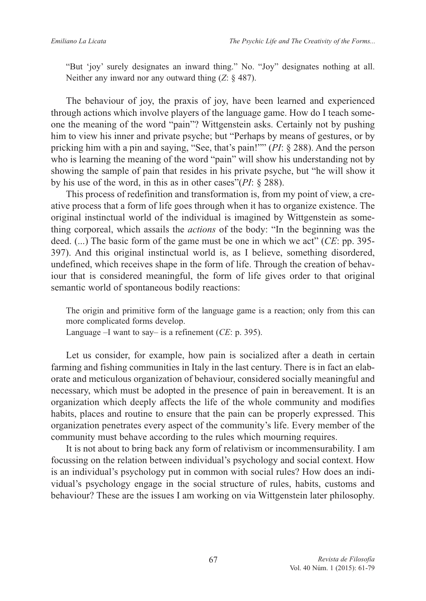"But 'joy' surely designates an inward thing." No. "Joy" designates nothing at all. Neither any inward nor any outward thing (*Z*: § 487).

The behaviour of joy, the praxis of joy, have been learned and experienced through actions which involve players of the language game. How do I teach someone the meaning of the word "pain"? Wittgenstein asks. Certainly not by pushing him to view his inner and private psyche; but "Perhaps by means of gestures, or by pricking him with a pin and saying, "See, that's pain!"" (*PI*: § 288). And the person who is learning the meaning of the word "pain" will show his understanding not by showing the sample of pain that resides in his private psyche, but "he will show it by his use of the word, in this as in other cases"(*PI*: § 288).

This process of redefinition and transformation is, from my point of view, a creative process that a form of life goes through when it has to organize existence. The original instinctual world of the individual is imagined by Wittgenstein as something corporeal, which assails the *actions* of the body: "In the beginning was the deed. (...) The basic form of the game must be one in which we act" (*CE*: pp. 395- 397). And this original instinctual world is, as I believe, something disordered, undefined, which receives shape in the form of life. Through the creation of behaviour that is considered meaningful, the form of life gives order to that original semantic world of spontaneous bodily reactions:

The origin and primitive form of the language game is a reaction; only from this can more complicated forms develop.

Language –I want to say– is a refinement (*CE*: p. 395).

Let us consider, for example, how pain is socialized after a death in certain farming and fishing communities in Italy in the last century. There is in fact an elaborate and meticulous organization of behaviour, considered socially meaningful and necessary, which must be adopted in the presence of pain in bereavement. It is an organization which deeply affects the life of the whole community and modifies habits, places and routine to ensure that the pain can be properly expressed. This organization penetrates every aspect of the community's life. Every member of the community must behave according to the rules which mourning requires.

It is not about to bring back any form of relativism or incommensurability. I am focussing on the relation between individual's psychology and social context. How is an individual's psychology put in common with social rules? How does an individual's psychology engage in the social structure of rules, habits, customs and behaviour? These are the issues I am working on via Wittgenstein later philosophy.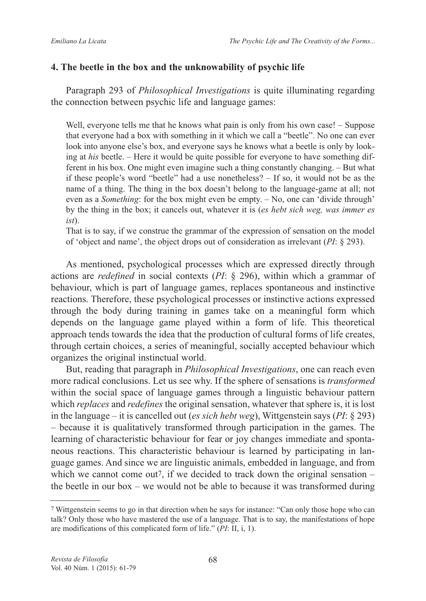## **4. The beetle in the box and the unknowability of psychic life**

Paragraph 293 of *Philosophical Investigations* is quite illuminating regarding the connection between psychic life and language games:

Well, everyone tells me that he knows what pain is only from his own case! – Suppose that everyone had a box with something in it which we call a "beetle". No one can ever look into anyone else's box, and everyone says he knows what a beetle is only by looking at *his* beetle. – Here it would be quite possible for everyone to have something different in his box. One might even imagine such a thing constantly changing. – But what if these people's word "beetle" had a use nonetheless? – If so, it would not be as the name of a thing. The thing in the box doesn't belong to the language-game at all; not even as a *Something*: for the box might even be empty. – No, one can 'divide through' by the thing in the box; it cancels out, whatever it is (*es hebt sich weg, was immer es ist*).

That is to say, if we construe the grammar of the expression of sensation on the model of 'object and name', the object drops out of consideration as irrelevant (*PI*: § 293).

As mentioned, psychological processes which are expressed directly through actions are *redefined* in social contexts (*PI*: § 296), within which a grammar of behaviour, which is part of language games, replaces spontaneous and instinctive reactions. Therefore, these psychological processes or instinctive actions expressed through the body during training in games take on a meaningful form which depends on the language game played within a form of life. This theoretical approach tends towards the idea that the production of cultural forms of life creates, through certain choices, a series of meaningful, socially accepted behaviour which organizes the original instinctual world.

But, reading that paragraph in *Philosophical Investigations*, one can reach even more radical conclusions. Let us see why. If the sphere of sensations is *transformed* within the social space of language games through a linguistic behaviour pattern which *replaces* and *redefines* the original sensation, whatever that sphere is, it is lost in the language – it is cancelled out (*es sich hebt weg*), Wittgenstein says (*PI*: § 293) – because it is qualitatively transformed through participation in the games. The learning of characteristic behaviour for fear or joy changes immediate and spontaneous reactions. This characteristic behaviour is learned by participating in language games. And since we are linguistic animals, embedded in language, and from which we cannot come out<sup>7</sup>, if we decided to track down the original sensation  $$ the beetle in our box – we would not be able to because it was transformed during

<sup>7</sup> Wittgenstein seems to go in that direction when he says for instance: "Can only those hope who can talk? Only those who have mastered the use of a language. That is to say, the manifestations of hope are modifications of this complicated form of life." (*PI*: II, i, 1).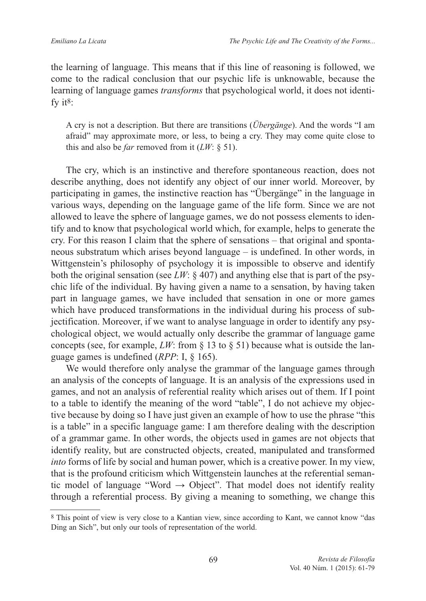the learning of language. This means that if this line of reasoning is followed, we come to the radical conclusion that our psychic life is unknowable, because the learning of language games *transforms* that psychological world, it does not identifv it $8$ :

A cry is not a description. But there are transitions (*Übergänge*). And the words "I am afraid" may approximate more, or less, to being a cry. They may come quite close to this and also be *far* removed from it (*LW*: § 51).

The cry, which is an instinctive and therefore spontaneous reaction, does not describe anything, does not identify any object of our inner world. Moreover, by participating in games, the instinctive reaction has "Übergänge" in the language in various ways, depending on the language game of the life form. Since we are not allowed to leave the sphere of language games, we do not possess elements to identify and to know that psychological world which, for example, helps to generate the cry. For this reason I claim that the sphere of sensations – that original and spontaneous substratum which arises beyond language – is undefined. In other words, in Wittgenstein's philosophy of psychology it is impossible to observe and identify both the original sensation (see *LW*: § 407) and anything else that is part of the psychic life of the individual. By having given a name to a sensation, by having taken part in language games, we have included that sensation in one or more games which have produced transformations in the individual during his process of subjectification. Moreover, if we want to analyse language in order to identify any psychological object, we would actually only describe the grammar of language game concepts (see, for example, *LW*: from § 13 to § 51) because what is outside the language games is undefined (*RPP*: I, § 165).

We would therefore only analyse the grammar of the language games through an analysis of the concepts of language. It is an analysis of the expressions used in games, and not an analysis of referential reality which arises out of them. If I point to a table to identify the meaning of the word "table", I do not achieve my objective because by doing so I have just given an example of how to use the phrase "this is a table" in a specific language game: I am therefore dealing with the description of a grammar game. In other words, the objects used in games are not objects that identify reality, but are constructed objects, created, manipulated and transformed *into* forms of life by social and human power, which is a creative power. In my view, that is the profound criticism which Wittgenstein launches at the referential semantic model of language "Word  $\rightarrow$  Object". That model does not identify reality through a referential process. By giving a meaning to something, we change this

<sup>8</sup> This point of view is very close to a Kantian view, since according to Kant, we cannot know "das Ding an Sich", but only our tools of representation of the world.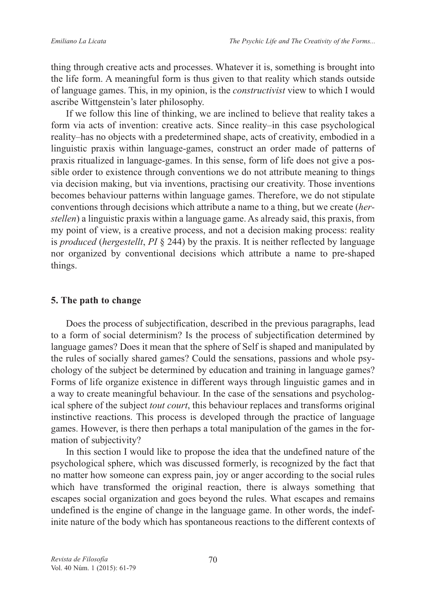thing through creative acts and processes. Whatever it is, something is brought into the life form. A meaningful form is thus given to that reality which stands outside of language games. This, in my opinion, is the *constructivist* view to which I would ascribe Wittgenstein's later philosophy.

If we follow this line of thinking, we are inclined to believe that reality takes a form via acts of invention: creative acts. Since reality–in this case psychological reality–has no objects with a predetermined shape, acts of creativity, embodied in a linguistic praxis within language-games, construct an order made of patterns of praxis ritualized in language-games. In this sense, form of life does not give a possible order to existence through conventions we do not attribute meaning to things via decision making, but via inventions, practising our creativity. Those inventions becomes behaviour patterns within language games. Therefore, we do not stipulate conventions through decisions which attribute a name to a thing, but we create (*herstellen*) a linguistic praxis within a language game. As already said, this praxis, from my point of view, is a creative process, and not a decision making process: reality is *produced* (*hergestellt*, *PI* § 244) by the praxis. It is neither reflected by language nor organized by conventional decisions which attribute a name to pre-shaped things.

## **5. The path to change**

Does the process of subjectification, described in the previous paragraphs, lead to a form of social determinism? Is the process of subjectification determined by language games? Does it mean that the sphere of Self is shaped and manipulated by the rules of socially shared games? Could the sensations, passions and whole psychology of the subject be determined by education and training in language games? Forms of life organize existence in different ways through linguistic games and in a way to create meaningful behaviour. In the case of the sensations and psychological sphere of the subject *tout court*, this behaviour replaces and transforms original instinctive reactions. This process is developed through the practice of language games. However, is there then perhaps a total manipulation of the games in the formation of subjectivity?

In this section I would like to propose the idea that the undefined nature of the psychological sphere, which was discussed formerly, is recognized by the fact that no matter how someone can express pain, joy or anger according to the social rules which have transformed the original reaction, there is always something that escapes social organization and goes beyond the rules. What escapes and remains undefined is the engine of change in the language game. In other words, the indefinite nature of the body which has spontaneous reactions to the different contexts of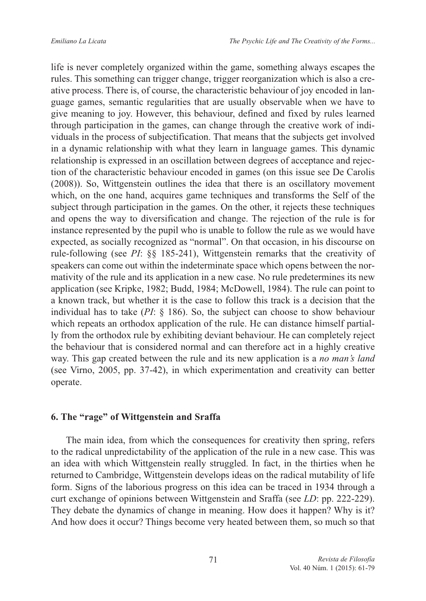life is never completely organized within the game, something always escapes the rules. This something can trigger change, trigger reorganization which is also a creative process. There is, of course, the characteristic behaviour of joy encoded in language games, semantic regularities that are usually observable when we have to give meaning to joy. However, this behaviour, defined and fixed by rules learned through participation in the games, can change through the creative work of individuals in the process of subjectification. That means that the subjects get involved in a dynamic relationship with what they learn in language games. This dynamic relationship is expressed in an oscillation between degrees of acceptance and rejection of the characteristic behaviour encoded in games (on this issue see De Carolis (2008)). So, Wittgenstein outlines the idea that there is an oscillatory movement which, on the one hand, acquires game techniques and transforms the Self of the subject through participation in the games. On the other, it rejects these techniques and opens the way to diversification and change. The rejection of the rule is for instance represented by the pupil who is unable to follow the rule as we would have expected, as socially recognized as "normal". On that occasion, in his discourse on rule-following (see *PI*: §§ 185-241), Wittgenstein remarks that the creativity of speakers can come out within the indeterminate space which opens between the normativity of the rule and its application in a new case. No rule predetermines its new application (see Kripke, 1982; Budd, 1984; McDowell, 1984). The rule can point to a known track, but whether it is the case to follow this track is a decision that the individual has to take (*PI*: § 186). So, the subject can choose to show behaviour which repeats an orthodox application of the rule. He can distance himself partially from the orthodox rule by exhibiting deviant behaviour. He can completely reject the behaviour that is considered normal and can therefore act in a highly creative way. This gap created between the rule and its new application is a *no man's land* (see Virno, 2005, pp. 37-42), in which experimentation and creativity can better operate.

## **6. The "rage" of Wittgenstein and Sraffa**

The main idea, from which the consequences for creativity then spring, refers to the radical unpredictability of the application of the rule in a new case. This was an idea with which Wittgenstein really struggled. In fact, in the thirties when he returned to Cambridge, Wittgenstein develops ideas on the radical mutability of life form. Signs of the laborious progress on this idea can be traced in 1934 through a curt exchange of opinions between Wittgenstein and Sraffa (see *LD*: pp. 222-229). They debate the dynamics of change in meaning. How does it happen? Why is it? And how does it occur? Things become very heated between them, so much so that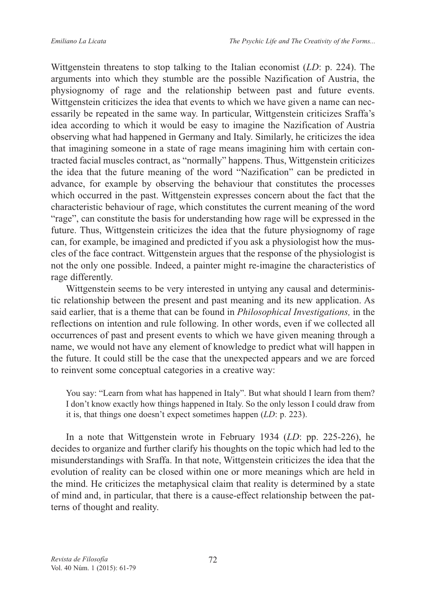Wittgenstein threatens to stop talking to the Italian economist (*LD*: p. 224). The arguments into which they stumble are the possible Nazification of Austria, the physiognomy of rage and the relationship between past and future events. Wittgenstein criticizes the idea that events to which we have given a name can necessarily be repeated in the same way. In particular, Wittgenstein criticizes Sraffa's idea according to which it would be easy to imagine the Nazification of Austria observing what had happened in Germany and Italy. Similarly, he criticizes the idea that imagining someone in a state of rage means imagining him with certain contracted facial muscles contract, as "normally" happens. Thus, Wittgenstein criticizes the idea that the future meaning of the word "Nazification" can be predicted in advance, for example by observing the behaviour that constitutes the processes which occurred in the past. Wittgenstein expresses concern about the fact that the characteristic behaviour of rage, which constitutes the current meaning of the word "rage", can constitute the basis for understanding how rage will be expressed in the future. Thus, Wittgenstein criticizes the idea that the future physiognomy of rage can, for example, be imagined and predicted if you ask a physiologist how the muscles of the face contract. Wittgenstein argues that the response of the physiologist is not the only one possible. Indeed, a painter might re-imagine the characteristics of rage differently.

Wittgenstein seems to be very interested in untying any causal and deterministic relationship between the present and past meaning and its new application. As said earlier, that is a theme that can be found in *Philosophical Investigations,* in the reflections on intention and rule following. In other words, even if we collected all occurrences of past and present events to which we have given meaning through a name, we would not have any element of knowledge to predict what will happen in the future. It could still be the case that the unexpected appears and we are forced to reinvent some conceptual categories in a creative way:

You say: "Learn from what has happened in Italy". But what should I learn from them? I don't know exactly how things happened in Italy. So the only lesson I could draw from it is, that things one doesn't expect sometimes happen (*LD*: p. 223).

In a note that Wittgenstein wrote in February 1934 (*LD*: pp. 225-226), he decides to organize and further clarify his thoughts on the topic which had led to the misunderstandings with Sraffa. In that note, Wittgenstein criticizes the idea that the evolution of reality can be closed within one or more meanings which are held in the mind. He criticizes the metaphysical claim that reality is determined by a state of mind and, in particular, that there is a cause-effect relationship between the patterns of thought and reality.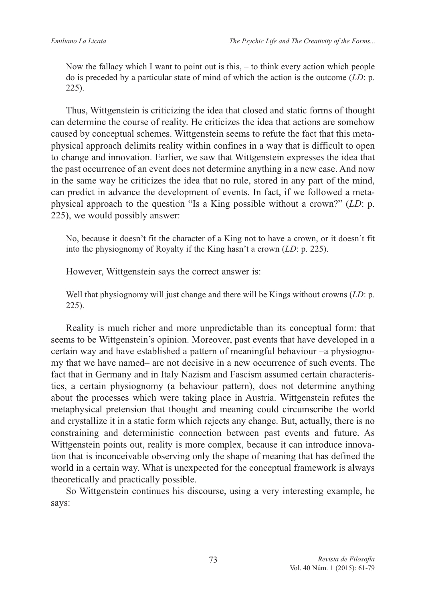Now the fallacy which I want to point out is this, – to think every action which people do is preceded by a particular state of mind of which the action is the outcome (*LD*: p. 225).

Thus, Wittgenstein is criticizing the idea that closed and static forms of thought can determine the course of reality. He criticizes the idea that actions are somehow caused by conceptual schemes. Wittgenstein seems to refute the fact that this metaphysical approach delimits reality within confines in a way that is difficult to open to change and innovation. Earlier, we saw that Wittgenstein expresses the idea that the past occurrence of an event does not determine anything in a new case. And now in the same way he criticizes the idea that no rule, stored in any part of the mind, can predict in advance the development of events. In fact, if we followed a metaphysical approach to the question "Is a King possible without a crown?" (*LD*: p. 225), we would possibly answer:

No, because it doesn't fit the character of a King not to have a crown, or it doesn't fit into the physiognomy of Royalty if the King hasn't a crown (*LD*: p. 225).

However, Wittgenstein says the correct answer is:

Well that physiognomy will just change and there will be Kings without crowns (*LD*: p. 225).

Reality is much richer and more unpredictable than its conceptual form: that seems to be Wittgenstein's opinion. Moreover, past events that have developed in a certain way and have established a pattern of meaningful behaviour -a physiognomy that we have named– are not decisive in a new occurrence of such events. The fact that in Germany and in Italy Nazism and Fascism assumed certain characteristics, a certain physiognomy (a behaviour pattern), does not determine anything about the processes which were taking place in Austria. Wittgenstein refutes the metaphysical pretension that thought and meaning could circumscribe the world and crystallize it in a static form which rejects any change. But, actually, there is no constraining and deterministic connection between past events and future. As Wittgenstein points out, reality is more complex, because it can introduce innovation that is inconceivable observing only the shape of meaning that has defined the world in a certain way. What is unexpected for the conceptual framework is always theoretically and practically possible.

So Wittgenstein continues his discourse, using a very interesting example, he says: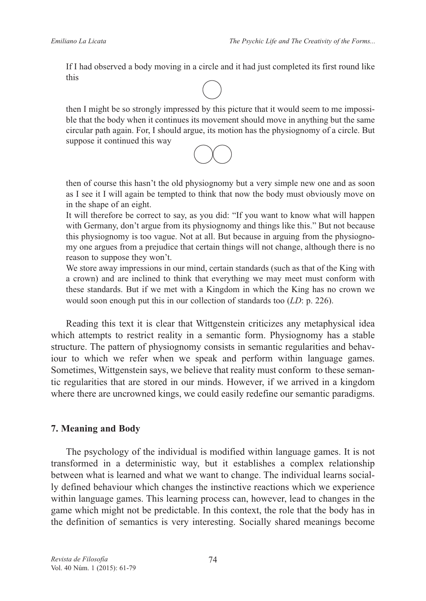If I had observed a body moving in a circle and it had just completed its first round like this

then I might be so strongly impressed by this picture that it would seem to me impossible that the body when it continues its movement should move in anything but the same circular path again. For, I should argue, its motion has the physiognomy of a circle. But suppose it continued this way



then of course this hasn't the old physiognomy but a very simple new one and as soon as I see it I will again be tempted to think that now the body must obviously move on in the shape of an eight.

It will therefore be correct to say, as you did: "If you want to know what will happen with Germany, don't argue from its physiognomy and things like this." But not because this physiognomy is too vague. Not at all. But because in arguing from the physiognomy one argues from a prejudice that certain things will not change, although there is no reason to suppose they won't.

We store away impressions in our mind, certain standards (such as that of the King with a crown) and are inclined to think that everything we may meet must conform with these standards. But if we met with a Kingdom in which the King has no crown we would soon enough put this in our collection of standards too (*LD*: p. 226).

Reading this text it is clear that Wittgenstein criticizes any metaphysical idea which attempts to restrict reality in a semantic form. Physiognomy has a stable structure. The pattern of physiognomy consists in semantic regularities and behaviour to which we refer when we speak and perform within language games. Sometimes, Wittgenstein says, we believe that reality must conform to these semantic regularities that are stored in our minds. However, if we arrived in a kingdom where there are uncrowned kings, we could easily redefine our semantic paradigms.

## **7. Meaning and Body**

The psychology of the individual is modified within language games. It is not transformed in a deterministic way, but it establishes a complex relationship between what is learned and what we want to change. The individual learns socially defined behaviour which changes the instinctive reactions which we experience within language games. This learning process can, however, lead to changes in the game which might not be predictable. In this context, the role that the body has in the definition of semantics is very interesting. Socially shared meanings become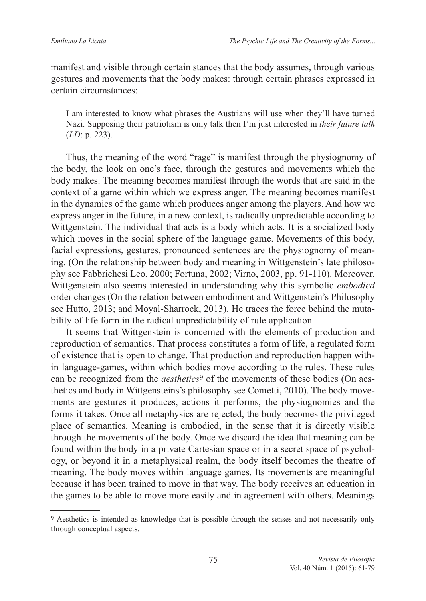manifest and visible through certain stances that the body assumes, through various gestures and movements that the body makes: through certain phrases expressed in certain circumstances:

I am interested to know what phrases the Austrians will use when they'll have turned Nazi. Supposing their patriotism is only talk then I'm just interested in *their future talk* (*LD*: p. 223).

Thus, the meaning of the word "rage" is manifest through the physiognomy of the body, the look on one's face, through the gestures and movements which the body makes. The meaning becomes manifest through the words that are said in the context of a game within which we express anger. The meaning becomes manifest in the dynamics of the game which produces anger among the players. And how we express anger in the future, in a new context, is radically unpredictable according to Wittgenstein. The individual that acts is a body which acts. It is a socialized body which moves in the social sphere of the language game. Movements of this body, facial expressions, gestures, pronounced sentences are the physiognomy of meaning. (On the relationship between body and meaning in Wittgenstein's late philosophy see Fabbrichesi Leo, 2000; Fortuna, 2002; Virno, 2003, pp. 91-110). Moreover, Wittgenstein also seems interested in understanding why this symbolic *embodied* order changes (On the relation between embodiment and Wittgenstein's Philosophy see Hutto, 2013; and Moyal-Sharrock, 2013). He traces the force behind the mutability of life form in the radical unpredictability of rule application.

It seems that Wittgenstein is concerned with the elements of production and reproduction of semantics. That process constitutes a form of life, a regulated form of existence that is open to change. That production and reproduction happen within language-games, within which bodies move according to the rules. These rules can be recognized from the *aesthetics*9 of the movements of these bodies (On aesthetics and body in Wittgensteins's philosophy see Cometti, 2010). The body movements are gestures it produces, actions it performs, the physiognomies and the forms it takes. Once all metaphysics are rejected, the body becomes the privileged place of semantics. Meaning is embodied, in the sense that it is directly visible through the movements of the body. Once we discard the idea that meaning can be found within the body in a private Cartesian space or in a secret space of psychology, or beyond it in a metaphysical realm, the body itself becomes the theatre of meaning. The body moves within language games. Its movements are meaningful because it has been trained to move in that way. The body receives an education in the games to be able to move more easily and in agreement with others. Meanings

<sup>9</sup> Aesthetics is intended as knowledge that is possible through the senses and not necessarily only through conceptual aspects.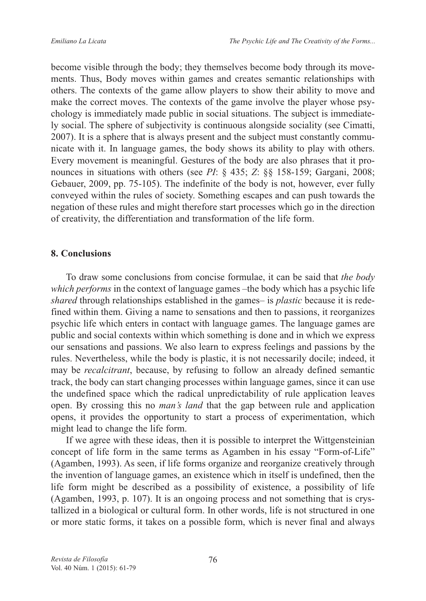become visible through the body; they themselves become body through its movements. Thus, Body moves within games and creates semantic relationships with others. The contexts of the game allow players to show their ability to move and make the correct moves. The contexts of the game involve the player whose psychology is immediately made public in social situations. The subject is immediately social. The sphere of subjectivity is continuous alongside sociality (see Cimatti, 2007). It is a sphere that is always present and the subject must constantly communicate with it. In language games, the body shows its ability to play with others. Every movement is meaningful. Gestures of the body are also phrases that it pronounces in situations with others (see *PI*: § 435; *Z*: §§ 158-159; Gargani, 2008; Gebauer, 2009, pp. 75-105). The indefinite of the body is not, however, ever fully conveyed within the rules of society. Something escapes and can push towards the negation of these rules and might therefore start processes which go in the direction of creativity, the differentiation and transformation of the life form.

#### **8. Conclusions**

To draw some conclusions from concise formulae, it can be said that *the body which performs* in the context of language games –the body which has a psychic life *shared* through relationships established in the games– is *plastic* because it is redefined within them. Giving a name to sensations and then to passions, it reorganizes psychic life which enters in contact with language games. The language games are public and social contexts within which something is done and in which we express our sensations and passions. We also learn to express feelings and passions by the rules. Nevertheless, while the body is plastic, it is not necessarily docile; indeed, it may be *recalcitrant*, because, by refusing to follow an already defined semantic track, the body can start changing processes within language games, since it can use the undefined space which the radical unpredictability of rule application leaves open. By crossing this no *man's land* that the gap between rule and application opens, it provides the opportunity to start a process of experimentation, which might lead to change the life form.

If we agree with these ideas, then it is possible to interpret the Wittgensteinian concept of life form in the same terms as Agamben in his essay "Form-of-Life" (Agamben, 1993). As seen, if life forms organize and reorganize creatively through the invention of language games, an existence which in itself is undefined, then the life form might be described as a possibility of existence, a possibility of life (Agamben, 1993, p. 107). It is an ongoing process and not something that is crystallized in a biological or cultural form. In other words, life is not structured in one or more static forms, it takes on a possible form, which is never final and always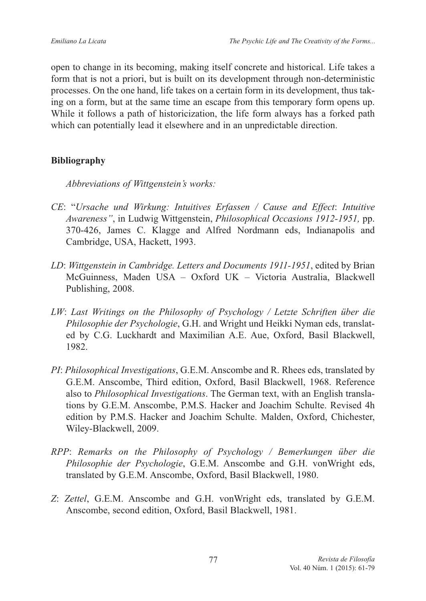open to change in its becoming, making itself concrete and historical. Life takes a form that is not a priori, but is built on its development through non-deterministic processes. On the one hand, life takes on a certain form in its development, thus taking on a form, but at the same time an escape from this temporary form opens up. While it follows a path of historicization, the life form always has a forked path which can potentially lead it elsewhere and in an unpredictable direction.

# **Bibliography**

*Abbreviations of Wittgenstein's works:*

- *CE*: "*Ursache und Wirkung: Intuitives Erfassen / Cause and Effect*: *Intuitive Awareness"*, in Ludwig Wittgenstein, *Philosophical Occasions 1912-1951,* pp. 370-426, James C. Klagge and Alfred Nordmann eds, Indianapolis and Cambridge, USA, Hackett, 1993.
- *LD*: *Wittgenstein in Cambridge. Letters and Documents 1911-1951*, edited by Brian McGuinness, Maden USA – Oxford UK – Victoria Australia, Blackwell Publishing, 2008.
- *LW*: *Last Writings on the Philosophy of Psychology / Letzte Schriften über die Philosophie der Psychologie*, G.H. and Wright und Heikki Nyman eds, translated by C.G. Luckhardt and Maximilian A.E. Aue, Oxford, Basil Blackwell, 1982.
- *PI*: *Philosophical Investigations*, G.E.M. Anscombe and R. Rhees eds, translated by G.E.M. Anscombe, Third edition, Oxford, Basil Blackwell, 1968. Reference also to *Philosophical Investigations*. The German text, with an English translations by G.E.M. Anscombe, P.M.S. Hacker and Joachim Schulte. Revised 4h edition by P.M.S. Hacker and Joachim Schulte. Malden, Oxford, Chichester, Wiley-Blackwell, 2009.
- *RPP*: *Remarks on the Philosophy of Psychology / Bemerkungen über die Philosophie der Psychologie*, G.E.M. Anscombe and G.H. vonWright eds, translated by G.E.M. Anscombe, Oxford, Basil Blackwell, 1980.
- *Z*: *Zettel*, G.E.M. Anscombe and G.H. vonWright eds, translated by G.E.M. Anscombe, second edition, Oxford, Basil Blackwell, 1981.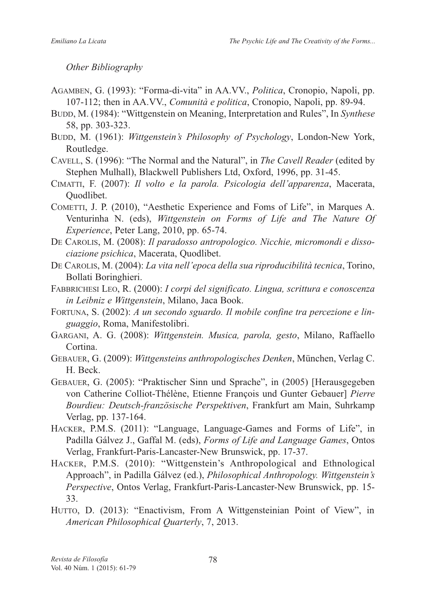*Other Bibliography*

- AGAMBEN, G. (1993): "Forma-di-vita" in AA.VV., *Politica*, Cronopio, Napoli, pp. 107-112; then in AA.VV., *Comunità e politica*, Cronopio, Napoli, pp. 89-94.
- BUDD, M. (1984): "Wittgenstein on Meaning, Interpretation and Rules", In *Synthese* 58, pp. 303-323.
- BUDD, M. (1961): *Wittgenstein's Philosophy of Psychology*, London-New York, Routledge.
- CAVELL, S. (1996): "The Normal and the Natural", in *The Cavell Reader* (edited by Stephen Mulhall), Blackwell Publishers Ltd, Oxford, 1996, pp. 31-45.
- CIMATTI, F. (2007): *Il volto e la parola. Psicologia dell'apparenza*, Macerata, Quodlibet.
- COMETTI, J. P. (2010), "Aesthetic Experience and Foms of Life", in Marques A. Venturinha N. (eds), *Wittgenstein on Forms of Life and The Nature Of Experience*, Peter Lang, 2010, pp. 65-74.
- DE CAROLIS, M. (2008): *Il paradosso antropologico. Nicchie, micromondi e dissociazione psichica*, Macerata, Quodlibet.
- DE CAROLIS, M. (2004): *La vita nell'epoca della sua riproducibilità tecnica*, Torino, Bollati Boringhieri.
- FABBRICHESI LEO, R. (2000): *I corpi del significato. Lingua, scrittura e conoscenza in Leibniz e Wittgenstein*, Milano, Jaca Book.
- FORTUNA, S. (2002): *A un secondo sguardo. Il mobile confine tra percezione e linguaggio*, Roma, Manifestolibri.
- GARGANI, A. G. (2008): *Wittgenstein. Musica, parola, gesto*, Milano, Raffaello Cortina.
- GEBAUER, G. (2009): *Wittgensteins anthropologisches Denken*, München, Verlag C. H. Beck.
- GEBAUER, G. (2005): "Praktischer Sinn und Sprache", in (2005) [Herausgegeben von Catherine Colliot-Thélène, Etienne François und Gunter Gebauer] *Pierre Bourdieu: Deutsch-französische Perspektiven*, Frankfurt am Main, Suhrkamp Verlag, pp. 137-164.
- HACKER, P.M.S. (2011): "Language, Language-Games and Forms of Life", in Padilla Gálvez J., Gaffal M. (eds), *Forms of Life and Language Games*, Ontos Verlag, Frankfurt-Paris-Lancaster-New Brunswick, pp. 17-37.
- HACKER, P.M.S. (2010): "Wittgenstein's Anthropological and Ethnological Approach", in Padilla Gálvez (ed.), *Philosophical Anthropology. Wittgenstein's Perspective*, Ontos Verlag, Frankfurt-Paris-Lancaster-New Brunswick, pp. 15- 33.
- HUTTO, D. (2013): "Enactivism, From A Wittgensteinian Point of View", in *American Philosophical Quarterly*, 7, 2013.